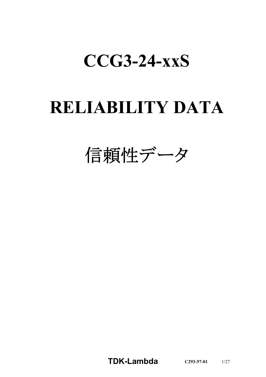# **CCG3-24-xxS**

# **RELIABILITY DATA**

信頼性データ

**TDK-Lambda C293-57-01** 1/27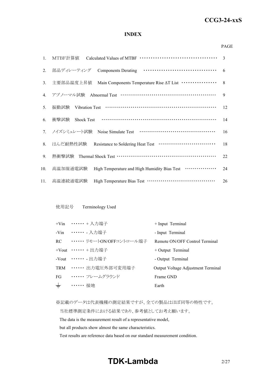## *RWS 50B-600B Series* **CCG3-24-xxS**

#### **INDEX**

#### PAGE

| $1_{\cdot}$ | MTBF計算値                                                                        | 3  |
|-------------|--------------------------------------------------------------------------------|----|
| 2.          | 部品ディレーティング                                                                     | 6  |
| 3.          | Main Components Temperature Rise AT List ················<br>主要部品温度上昇值         | 8  |
| 4.          | アブノーマル試験 Abnormal Test ……………………………………………                                       | 9  |
| 5.          | 振動試験                                                                           | 12 |
| 6.          | 衝撃試験<br><b>Shock Test</b>                                                      | 14 |
|             | 7. ノイズシミュレート試験                                                                 | 16 |
| 8.          | はんだ耐熱性試験 Resistance to Soldering Heat Test ·······························     | 18 |
| 9.          | 熱衝擊試験 Thermal Shock Test …………………………………………………                                   | 22 |
| 10.         | High Temperature and High Humidity Bias Test <b>··············</b><br>高温加湿通電試験 | 24 |
| 11.         | 高温連続通電試験                                                                       | 26 |

#### 使用記号 Terminology Used

|       | +Vin …… + 入力端子                | + Input Terminal                   |
|-------|-------------------------------|------------------------------------|
|       | -Vin ……… 入力端子                 | - Input Terminal                   |
|       | RC ••••••• リモートON/OFFコントロール端子 | Remote ON/OFF Control Terminal     |
|       | +Vout $\cdots \cdots$ + 出力端子  | $+$ Output Terminal                |
|       | -Vout ……. 出力端子                | - Output Terminal                  |
|       | TRM ······ 出力電圧外部可変用端子        | Output Voltage Adjustment Terminal |
| FG    | ・・・・・・・ フレームグラウンド             | Frame GND                          |
| $\pm$ | ・・・・・・ 接地                     | Earth                              |

※記載のデータは代表機種の測定結果ですが、全ての製品はほぼ同等の特性です。

当社標準測定条件における結果であり、参考値としてお考え願います。

The data is the measurement result of a representative model,

but all products show almost the same characteristics.

Test results are reference data based on our standard measurement condition.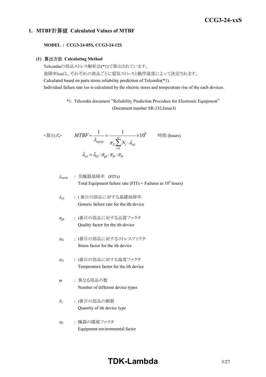## *RWS 50B-600B Series* **CCG3-24-xxS**

#### **1. MTBF**計算値 **Calculated Values of MTBF**

**MODEL : CCG3-24-05S, CCG3-24-12S**

#### **(1)** 算出方法 **Calculating Method**

Telcordiaの部品ストレス解析法(\*1)で算出されています。 故障率λssは、それぞれの部品ごとに電気ストレスと動作温度によって決定されます。 Calculated based on parts stress reliability prediction of Telcordia(\*1). Individual failure rate λss is calculated by the electric stress and temperature rise of the each devices.

> \*1: Telcordia document "Reliability Prediction Procedure for Electronic Equipment" (Document number SR-332,Issue3)

$$
\langle \hat{\mathbf{g}} | \mathbf{H} \mathbf{x} \rangle \qquad MTBF = \frac{1}{\lambda_{\text{equip}}} = \frac{1}{\pi_E \sum_{i=1}^{m} N_i \cdot \lambda_{\text{ssi}}} \times 10^9 \qquad \text{iff } (\text{hours})
$$
\n
$$
\lambda_{\text{ssi}} = \lambda_{\text{Gi}} \cdot \pi_{\text{Qi}} \cdot \pi_{\text{Si}} \cdot \pi_{\text{Ti}}
$$

$$
\lambda_{\text{equip}} : \hat{\pm} \circledR \circledR \circledR \circledR
$$
\n
$$
\lambda_{\text{equip}}
$$
\n
$$
\therefore \hat{\pm} \circledR \circledR
$$
\n
$$
\text{Total Equipment failure rate (FITs = Failure in 109 hours)}
$$

- <sup>l</sup>*Gi* : i 番目の部品に対する基礎故障率 Generic failure rate for the ith device
- <sup>p</sup>*Qi* : i番目の部品に対する品質ファクタ Quality factor for the ith device
- <sup>p</sup>*Si* : i番目の部品に対するストレスファクタ Stress factor for the ith device
- <sup>p</sup>*Ti* : i番目の部品に対する温度ファクタ Temperature factor for the ith device
- *m* : 異なる部品の数 Number of different device types
- *Ni* : i番目の部品の個数 Quantity of ith device type
- <sup>p</sup>*<sup>E</sup>* : 機器の環境ファクタ Equipment environmental factor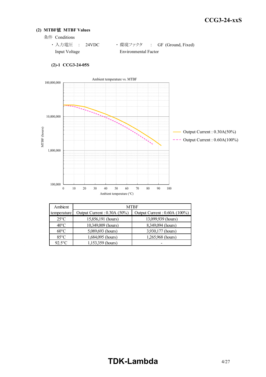#### **(2) MTBF**値 **MTBF Values**

条件 Conditions

| ・入力電圧 : 24VDC |  |                      | ・環境ファクタ : GF (Ground, Fixed) |
|---------------|--|----------------------|------------------------------|
| Input Voltage |  | Environmental Factor |                              |



#### **(2)-1 CCG3-24-05S**

| Ambient        | <b>MTBF</b>                   |                              |  |  |  |  |  |  |  |  |  |
|----------------|-------------------------------|------------------------------|--|--|--|--|--|--|--|--|--|
| temperature    | Output Current : $0.30A(50%)$ | Output Current: 0.60A (100%) |  |  |  |  |  |  |  |  |  |
| $25^{\circ}$ C | 15,856,191 (hours)            | 13,099,939 (hours)           |  |  |  |  |  |  |  |  |  |
| $40^{\circ}$ C | 10,349,009 (hours)            | 8,349,094 (hours)            |  |  |  |  |  |  |  |  |  |
| $60^{\circ}$ C | 5,089,693 (hours)             | 3,930,177 (hours)            |  |  |  |  |  |  |  |  |  |
| $85^{\circ}$ C | 1,684,095 (hours)             | 1,265,968 (hours)            |  |  |  |  |  |  |  |  |  |
| $92.5$ °C      | 1,153,359 (hours)             |                              |  |  |  |  |  |  |  |  |  |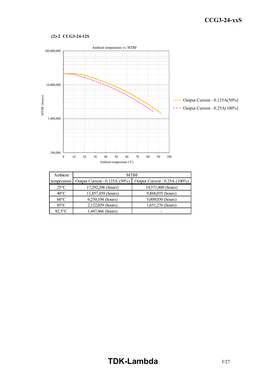#### **(2)-2 CCG3-24-12S**



| Ambient        | <b>MTBF</b>                   |                               |  |  |  |  |  |  |  |  |  |
|----------------|-------------------------------|-------------------------------|--|--|--|--|--|--|--|--|--|
| temperature    | Output Current : 0.125A (50%) | Output Current : 0.25A (100%) |  |  |  |  |  |  |  |  |  |
| $25^{\circ}$ C | 17,292,206 (hours)            | 14,571,800 (hours)            |  |  |  |  |  |  |  |  |  |
| $40^{\circ}$ C | 11,857,459 (hours)            | 9,868,035 (hours)             |  |  |  |  |  |  |  |  |  |
| $60^{\circ}$ C | 6,250,104 (hours)             | 5,009,030 (hours)             |  |  |  |  |  |  |  |  |  |
| $85^{\circ}$ C | 2,122,029 (hours)             | 1,651,276 (hours)             |  |  |  |  |  |  |  |  |  |
| $92.5$ °C      | 1,447,466 (hours)             |                               |  |  |  |  |  |  |  |  |  |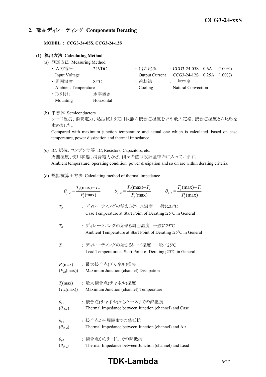#### **2.** 部品ディレーティング **Components Derating**

**MODEL : CCG3-24-05S, CCG3-24-12S**

#### **(1)** 算出方法 **Calculating Method**

- (a) 測定方法 Measuring Method
	- 入力電圧 : 24VDC • 出力電流 : CCG3-24-05S 0.6A (100%) Input Voltage Output Current CCG3-24-12S 0.25A (100%) • 周囲温度 : 85°C · 哈却法 : 自然空冷 Ambient Temperature Cooling Natural Convection ・ 取り付け : 水平置き Mounting Horizontal
- (b) 半導体 Semiconductors

ケース温度、消費電力、熱抵抗より使用状態の接合点温度を求め最大定格、接合点温度との比較を 求めました。

Compared with maximum junction temperature and actual one which is calculated based on case temperature, power dissipation and thermal impedance.

- (c) IC、抵抗、コンデンサ等 IC, Resistors, Capacitors, etc. 周囲温度、使用状態、消費電力など、個々の値は設計基準内に入っています。 Ambient temperature, operating condition, power dissipation and so on are within derating criteria.
- (d) 熱抵抗算出方法 Calculating method of thermal impedance

|                                     | $\theta_{j-a} = \frac{T_j(\text{max}) - T_a}{P_j(\text{max})}$<br>$\theta_{j-l} = \frac{T_j(\text{max}) - T_l}{P(\text{max})}$<br>$\theta_{j-c} = \frac{T_j(\text{max}) - T_c}{P_i(\text{max})}$ |  |
|-------------------------------------|--------------------------------------------------------------------------------------------------------------------------------------------------------------------------------------------------|--|
| $T_c$                               | : ディレーティングの始まるケース温度 一般に25℃<br>Case Temperature at Start Point of Derating; 25°C in General                                                                                                       |  |
| $T_a$                               | : ディレーティングの始まる周囲温度 一般に25℃<br>Ambient Temperature at Start Point of Derating; 25°C in General                                                                                                     |  |
| $T_I$                               | : ディレーティングの始まるリード温度 一般に25℃<br>Lead Temperature at Start Point of Derating; 25°C in General                                                                                                       |  |
| $(P_{ch}(\text{max}))$              | $P_i$ (max) : 最大接合点(チャネル)損失<br>Maximum Junction (channel) Dissipation                                                                                                                            |  |
| $(T_{ch}(\text{max}))$              | $T_j$ (max) : 最大接合点(チャネル)温度<br>Maximum Junction (channel) Temperature                                                                                                                            |  |
| $\theta_{j-c}$<br>$(\theta_{ch-c})$ | : 接合点(チャネル)からケースまでの熱抵抗<br>Thermal Impedance between Junction (channel) and Case                                                                                                                  |  |
| $\theta_{i-a}$<br>$(\theta_{ch-a})$ | : 接合点から周囲までの熱抵抗<br>Thermal Impedance between Junction (channel) and Air                                                                                                                          |  |
| $\theta_{i-l}$<br>$(\theta_{ch-l})$ | : 接合点からリードまでの熱抵抗<br>Thermal Impedance between Junction (channel) and Lead                                                                                                                        |  |

## **TDK-Lambda** 6/27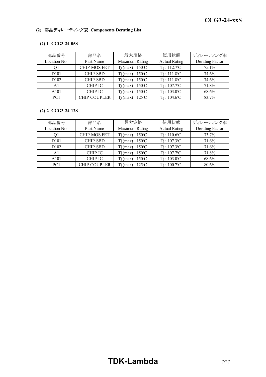### **(2)** 部品ディレーティング表 **Components Derating List**

#### **(2)-1 CCG3-24-05S**

| 部品番号             | 部品名                 | 最大定格                         | 使用状態                       | ディレーティング率       |
|------------------|---------------------|------------------------------|----------------------------|-----------------|
| Location No.     | Part Name           | Maximum Rating               | <b>Actual Rating</b>       | Derating Factor |
|                  | <b>CHIP MOS FET</b> | $Tj$ (max) : $150^{\circ}$ C | $Ti: 112.7^{\circ}C$       | 75.1%           |
| D <sub>101</sub> | <b>CHIP SBD</b>     | $Tj$ (max) : $150^{\circ}$ C | $Ti: 111.8$ <sup>o</sup> C | 74.6%           |
| D <sub>102</sub> | <b>CHIP SBD</b>     | $Tj$ (max) : 150 °C          | $Ti: 111.8$ <sup>o</sup> C | 74.6%           |
| A1               | <b>CHIP IC</b>      | $Tj$ (max) : $150^{\circ}$ C | $Ti: 107.7$ <sup>o</sup> C | 71.8%           |
| A <sub>101</sub> | <b>CHIP IC</b>      | $Tj$ (max) : 150 °C          | $Ti: 103.0^{\circ}C$       | 68.6%           |
| PC <sub>1</sub>  | <b>CHIP COUPLER</b> | $Ti$ (max) : 125 °C          | $Ti: 104.6$ <sup>o</sup> C | 83.7%           |

#### **(2)-2 CCG3-24-12S**

| 部品番号             | 部品名                 | 最大定格                         | 使用状態                       | ディレーティング率       |
|------------------|---------------------|------------------------------|----------------------------|-----------------|
| Location No.     | Part Name           | Maximum Rating               | <b>Actual Rating</b>       | Derating Factor |
|                  | <b>CHIP MOS FET</b> | $Tj$ (max) : $150^{\circ}$ C | $Tj: 110.6$ °C             | 73.7%           |
| D <sub>101</sub> | <b>CHIP SBD</b>     | $Tj$ (max) : $150^{\circ}$ C | $Ti: 107.3$ <sup>o</sup> C | 71.6%           |
| D <sub>102</sub> | <b>CHIP SBD</b>     | $Tj$ (max) : 150 °C          | $Ti: 107.3$ <sup>o</sup> C | 71.6%           |
| A1               | <b>CHIP IC</b>      | $Tj$ (max) : $150^{\circ}$ C | $Ti: 107.7$ <sup>o</sup> C | 71.8%           |
| A <sub>101</sub> | <b>CHIP IC</b>      | $Ti$ (max) : $150^{\circ}$ C | $Ti: 103.0^{\circ}C$       | 68.6%           |
| PC <sub>1</sub>  | <b>CHIP COUPLER</b> | $(max): 125^{\circ}C$        | $Ti: 100.7$ °C             | 80.6%           |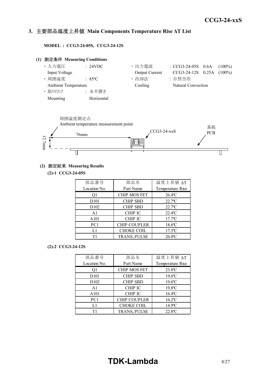#### *INSTRUCTION MANUAL* **3.** 主要部品温度上昇値 **Main Components Temperature Rise ΔT List**

**MODEL : CCG3-24-05S, CCG3-24-12S**

## **(1)** 測定条件 **Measuring Conditions** • 入力電圧 : 24VDC · 出力電流 : CCG3-24-05S 0.6A (100%) Input Voltage Output Current CCG3-24-12S 0.25A (100%) • 周囲温度 | 35℃ | 1 → 冷却法 | 1 + 自然空冷 Ambient Temperature Cooling Natural Convection ・ 取り付け : 水平置き Mounting Horizontal



#### **(2)** 測定結果 **Measuring Results**

**(2)-1 CCG3-24-05S**

| 部品番号             | 部品名                 | 温度上昇值 ΔT              |
|------------------|---------------------|-----------------------|
| Location No.     | Part Name           | Temperature Rise      |
| Ο1               | <b>CHIP MOS FET</b> | $26.4$ <sup>o</sup> C |
| D <sub>101</sub> | <b>CHIP SBD</b>     | $22.7$ <sup>o</sup> C |
| D <sub>102</sub> | <b>CHIP SBD</b>     | $22.7$ <sup>o</sup> C |
| A <sub>1</sub>   | <b>CHIP IC</b>      | $22.4^{\circ}$ C      |
| A101             | <b>CHIP IC</b>      | $17.7$ <sup>o</sup> C |
| PC1              | <b>CHIP COUPLER</b> | $18.6$ °C             |
| L1               | <b>CHOKE COIL</b>   | $17.3$ <sup>o</sup> C |
| Τ1               | TRANS, PULSE        | $26.0^{\circ}$ C      |

#### **(2)-2 CCG3-24-12S**

| 部品番号              | 部品名                 | 温度上昇值 ΔT              |
|-------------------|---------------------|-----------------------|
| Location No.      | Part Name           | Temperature Rise      |
| O1                | <b>CHIP MOS FET</b> | 23.8°C                |
| D <sub>10</sub> 1 | <b>CHIP SBD</b>     | $19.6$ °C             |
| D <sub>102</sub>  | <b>CHIP SBD</b>     | $19.6$ °C             |
| A <sub>1</sub>    | <b>CHIP IC</b>      | 19.8°C                |
| A <sub>101</sub>  | <b>CHIP IC</b>      | $16.4$ <sup>o</sup> C |
| PC1               | <b>CHIP COUPLER</b> | $16.2$ <sup>o</sup> C |
| L1                | <b>CHOKE COIL</b>   | 14.9°C                |
| Τ1                | TRANS, PULSE        | $22.8$ <sup>o</sup> C |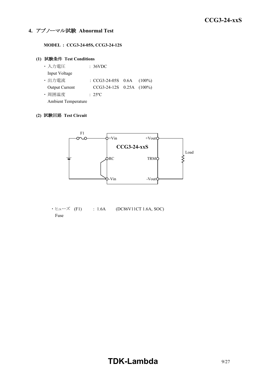#### **4.** アブノーマル試験 **Abnormal Test**

**MODEL : CCG3-24-05S, CCG3-24-12S**

#### **(1)** 試験条件 **Test Conditions**

| ・入力電圧                      | : 36VDC                        |  |
|----------------------------|--------------------------------|--|
| Input Voltage              |                                |  |
| ・出力電流                      | : $CCG3-24-05S$ 0.6A $(100\%)$ |  |
| <b>Output Current</b>      | CCG3-24-12S 0.25A (100%)       |  |
| ・周囲温度                      | $\div$ 2.5°C                   |  |
| <b>Ambient Temperature</b> |                                |  |

#### **(2)** 試験回路 **Test Circuit**



• ヒューズ (F1) : 1.6A (DC86V11CT 1.6A, SOC) Fuse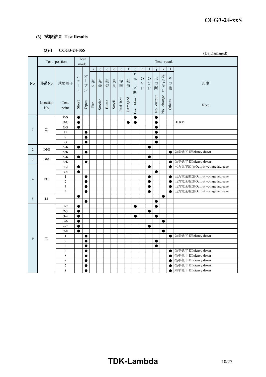#### **(3)** 試験結果 **Test Results**

### **(3)-1 CCG3-24-05S**

|                |                   | $(3) - 1$<br>CCG3-24-055<br>(Da:Damaged)  |                                              |                                                                       |                       |             |             |             |             |             |                               |                                                 |                                    |                         |               |                         |                                                                  |
|----------------|-------------------|-------------------------------------------|----------------------------------------------|-----------------------------------------------------------------------|-----------------------|-------------|-------------|-------------|-------------|-------------|-------------------------------|-------------------------------------------------|------------------------------------|-------------------------|---------------|-------------------------|------------------------------------------------------------------|
|                |                   | Test position                             |                                              | Test<br>mode                                                          |                       |             |             |             |             |             |                               |                                                 |                                    |                         | Test result   |                         |                                                                  |
|                |                   |                                           |                                              |                                                                       | $\rm{a}$              | $\mathbf b$ | $\mathbf c$ | $\mathbf d$ | $\mathbf e$ | $\mathbf f$ | $\mathbf{g}$                  | h                                               | 1                                  |                         | k             | 1                       |                                                                  |
| No.            | 部品No.             | 試験端子                                      | $\ddot{\checkmark}$<br>$\exists$<br>$\vdash$ | 才<br>$\begin{array}{c} \hline \end{array}$<br>$\mathcal{I}$<br>$\vee$ | 発<br>火                | 発<br>煙      | 破<br>裂      | 異<br>臭      | 赤<br>熱      | 破<br>損      | ヒ<br>그<br>$\Bigl\}$<br>ズ<br>断 | $\circ$<br>$\boldsymbol{\mathrm{V}}$<br>$\rm P$ | $\circ$<br>$\mathsf{C}$<br>$\rm P$ | 出力<br>断                 | 変化な<br>$\cup$ | z<br>$\mathcal{O}$<br>他 | 記事                                                               |
|                | Location<br>No.   | Test<br>point                             | Short                                        | Open                                                                  | $\operatorname{Fire}$ | Smoke       | Burst       | Smell       | Red hot     | Damaged     | blown<br>$_{\rm{Fuse}}$       |                                                 |                                    | output<br>$\frac{1}{2}$ | No change     | Others                  | Note                                                             |
|                |                   | $D-S$                                     | $\bullet$                                    |                                                                       |                       |             |             |             |             |             | $\bullet$                     |                                                 |                                    | $\bullet$               |               |                         |                                                                  |
|                |                   | $D-G$                                     | $\bullet$                                    |                                                                       |                       |             |             |             |             | $\bullet$   | $\bullet$                     |                                                 |                                    | $\bullet$               |               |                         | Da:R36                                                           |
| $\mathbf{1}$   | Q1                | $G-S$                                     | $\bullet$                                    |                                                                       |                       |             |             |             |             |             |                               |                                                 |                                    | 0                       |               |                         |                                                                  |
|                |                   | $\mathbf D$                               |                                              | $\bullet$                                                             |                       |             |             |             |             |             |                               |                                                 |                                    | 0                       |               |                         |                                                                  |
|                |                   | $\mathbf S$                               |                                              | ●                                                                     |                       |             |             |             |             |             |                               |                                                 |                                    | $\bullet$               |               |                         |                                                                  |
|                |                   | ${\bf G}$                                 |                                              | $\bullet$                                                             |                       |             |             |             |             |             |                               |                                                 |                                    | 0                       |               |                         |                                                                  |
| $\overline{c}$ | D <sub>10</sub> 1 | $A-K$                                     | $\bullet$                                    |                                                                       |                       |             |             |             |             |             |                               |                                                 | $\bullet$                          |                         |               |                         |                                                                  |
|                |                   | A/K                                       |                                              | $\bullet$                                                             |                       |             |             |             |             |             |                               |                                                 |                                    |                         |               | $\bullet$               | 効率低下 Efficiency down                                             |
| 3              | D <sub>102</sub>  | $A-K$                                     | $\bullet$                                    |                                                                       |                       |             |             |             |             |             |                               |                                                 | $\bullet$                          |                         |               |                         |                                                                  |
|                |                   | A/K                                       |                                              | $\bullet$                                                             |                       |             |             |             |             |             |                               |                                                 |                                    |                         |               | $\bullet$               | 効率低下 Efficiency down                                             |
|                |                   | $1 - 2$                                   | $\bullet$                                    |                                                                       |                       |             |             |             |             |             |                               |                                                 | ●                                  |                         |               | $\bullet$               | 出力電圧増加 Output voltage increase                                   |
|                |                   | $3 - 4$                                   | $\bullet$                                    |                                                                       |                       |             |             |             |             |             |                               |                                                 |                                    | $\bullet$               |               |                         |                                                                  |
| $\overline{4}$ | PC1               | $\,1$                                     |                                              | $\bullet$                                                             |                       |             |             |             |             |             |                               |                                                 | $\bullet$<br>●                     |                         |               | $\bullet$               | 出力電圧増加 Output voltage increase<br>出力電圧増加 Output voltage increase |
|                |                   | $\overline{c}$<br>$\overline{\mathbf{3}}$ |                                              | $\bullet$<br>$\bullet$                                                |                       |             |             |             |             |             |                               |                                                 | ●                                  |                         |               | $\bullet$<br>$\bullet$  | 出力電圧増加 Output voltage increase                                   |
|                |                   | $\overline{4}$                            |                                              | $\bullet$                                                             |                       |             |             |             |             |             |                               |                                                 | $\bullet$                          |                         |               | $\bullet$               | 出力電圧増加 Output voltage increase                                   |
|                |                   |                                           | $\bullet$                                    |                                                                       |                       |             |             |             |             |             |                               |                                                 |                                    |                         | $\bullet$     |                         |                                                                  |
| $5\,$          | L1                |                                           |                                              | $\bullet$                                                             |                       |             |             |             |             |             |                               |                                                 |                                    | ●                       |               |                         |                                                                  |
|                |                   | $1 - 2$                                   | $\bullet$                                    |                                                                       |                       |             |             |             |             |             | $\bullet$                     |                                                 |                                    | $\bullet$               |               |                         |                                                                  |
|                |                   | $2 - 3$                                   | $\bullet$                                    |                                                                       |                       |             |             |             |             |             |                               |                                                 | 0                                  |                         |               |                         |                                                                  |
|                |                   | $3 - 4$                                   | $\bullet$                                    |                                                                       |                       |             |             |             |             |             | $\bullet$                     |                                                 |                                    | $\bullet$               |               |                         |                                                                  |
|                |                   | $5-6$                                     | $\bullet$                                    |                                                                       |                       |             |             |             |             |             |                               |                                                 |                                    |                         | $\bullet$     |                         |                                                                  |
|                |                   | $6 - 7$                                   | $\bullet$                                    |                                                                       |                       |             |             |             |             |             |                               |                                                 | $\bullet$                          |                         |               |                         |                                                                  |
|                |                   | $7 - 8$                                   | $\bullet$                                    |                                                                       |                       |             |             |             |             |             |                               |                                                 |                                    |                         | 0             |                         |                                                                  |
|                |                   | $\mathbf{1}$                              |                                              | $\bullet$                                                             |                       |             |             |             |             |             |                               |                                                 |                                    |                         |               | $\bullet$               | 効率低下 Efficiency down                                             |
| 6              | T1                | $\mathbf{2}$                              |                                              | $\bullet$                                                             |                       |             |             |             |             |             |                               |                                                 |                                    | $\bullet$               |               |                         |                                                                  |
|                |                   | $\overline{3}$                            |                                              | 0                                                                     |                       |             |             |             |             |             |                               |                                                 |                                    | 0                       |               |                         |                                                                  |
|                |                   | $\overline{4}$                            |                                              | $\bullet$                                                             |                       |             |             |             |             |             |                               |                                                 |                                    |                         |               | $\bullet$               | 効率低下 Efficiency down                                             |
|                |                   | 5                                         |                                              | $\bullet$                                                             |                       |             |             |             |             |             |                               |                                                 |                                    |                         |               | $\bullet$               | 効率低下 Efficiency down                                             |
|                |                   | 6                                         |                                              | $\bullet$                                                             |                       |             |             |             |             |             |                               |                                                 |                                    |                         |               | $\bullet$               | 効率低下 Efficiency down                                             |
|                |                   | $\tau$                                    |                                              | $\bullet$                                                             |                       |             |             |             |             |             |                               |                                                 |                                    |                         |               | $\bullet$               | 効率低下 Efficiency down                                             |
|                |                   | 8                                         |                                              | $\bullet$                                                             |                       |             |             |             |             |             |                               |                                                 |                                    |                         |               | $\bullet$               | 効率低下 Efficiency down                                             |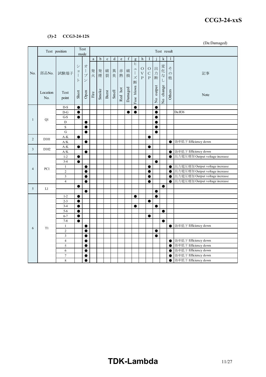#### *RWS 50B-600B Series* **CCG3-24-xxS**

#### **(3)-2 CCG3-24-12S**

(Da:Damaged)

|                |                   | Test position           |                                                          | Test<br>mode                                                                            |                       | Test result |             |           |             |                  |                                                                        |                           |                                          |             |               |                         |                                |
|----------------|-------------------|-------------------------|----------------------------------------------------------|-----------------------------------------------------------------------------------------|-----------------------|-------------|-------------|-----------|-------------|------------------|------------------------------------------------------------------------|---------------------------|------------------------------------------|-------------|---------------|-------------------------|--------------------------------|
|                |                   |                         |                                                          |                                                                                         | $\rm{a}$              | b           | $\mathbf c$ | ${\rm d}$ | $\mathbf e$ | $\boldsymbol{f}$ | g                                                                      | h                         | I                                        |             | $\mathbf k$   | 1                       |                                |
| No.            | 部品No.             | 試験端子                    | $\ddot{\checkmark}$<br>$\Xi$<br>$\mathbf{I}$<br>$\vdash$ | 才<br>$\begin{array}{c} \hline \end{array}$<br>$\mathcal{I}$<br>$\overline{\phantom{a}}$ | 発<br>火                | 発<br>煙      | 破<br>裂      | 異<br>臭    | 赤<br>熱      | 破<br>損           | E<br>$\mathfrak{a}$<br>$\begin{array}{c} \hline \end{array}$<br>ズ<br>断 | O<br>$\bar{V}$<br>$\rm P$ | $\circ$<br>$\mathbf C$<br>$\overline{P}$ | 出<br>力<br>断 | 変化な<br>$\cup$ | そ<br>$\mathcal{O}$<br>他 | 記事                             |
|                | Location<br>No.   | Test<br>point           | Short                                                    | Open                                                                                    | $\operatorname{Fire}$ | Smoke       | Burst       | Smell     | Red hot     | Damaged          | Fuse blown                                                             |                           |                                          | No output   | No change     | Others                  | Note                           |
|                |                   | $D-S$                   | $\bullet$                                                |                                                                                         |                       |             |             |           |             |                  | $\bullet$                                                              |                           |                                          | 0           |               |                         |                                |
|                |                   | $D-G$                   | $\bullet$                                                |                                                                                         |                       |             |             |           |             | $\bullet$        | $\bullet$                                                              |                           |                                          | $\bullet$   |               |                         | Da:R36                         |
| $\mathbf{1}$   | Q1                | G-S                     | $\bullet$                                                |                                                                                         |                       |             |             |           |             |                  |                                                                        |                           |                                          | $\bullet$   |               |                         |                                |
|                |                   | D                       |                                                          | $\bullet$                                                                               |                       |             |             |           |             |                  |                                                                        |                           |                                          | ●           |               |                         |                                |
|                |                   | $\rm S$                 |                                                          | $\bullet$                                                                               |                       |             |             |           |             |                  |                                                                        |                           |                                          | ●           |               |                         |                                |
|                |                   | ${\bf G}$               |                                                          | $\bullet$                                                                               |                       |             |             |           |             |                  |                                                                        |                           |                                          | $\bullet$   |               |                         |                                |
| $\overline{2}$ | D <sub>10</sub> 1 | $A-K$<br>A/K            | ●                                                        | $\bullet$                                                                               |                       |             |             |           |             |                  |                                                                        |                           | ●                                        |             |               |                         | 効率低下 Efficiency down           |
|                |                   | $A-K$                   | $\bullet$                                                |                                                                                         |                       |             |             |           |             |                  |                                                                        |                           | $\bullet$                                |             |               | $\bullet$               |                                |
| 3              | D <sub>102</sub>  | $\rm A/K$               |                                                          | $\bullet$                                                                               |                       |             |             |           |             |                  |                                                                        |                           |                                          |             |               | $\bullet$               | 効率低下 Efficiency down           |
|                |                   | $1 - 2$                 | $\bullet$                                                |                                                                                         |                       |             |             |           |             |                  |                                                                        |                           | $\bullet$                                |             |               | $\bullet$               | 出力電圧増加 Output voltage increase |
|                |                   | $3 - 4$                 | $\bullet$                                                |                                                                                         |                       |             |             |           |             |                  |                                                                        |                           |                                          | $\bullet$   |               |                         |                                |
|                |                   | $\mathbf{1}$            |                                                          | $\bullet$                                                                               |                       |             |             |           |             |                  |                                                                        |                           | $\bullet$                                |             |               | $\bullet$               | 出力電圧増加 Output voltage increase |
| 4              | PC1               | $\overline{2}$          |                                                          | $\bullet$                                                                               |                       |             |             |           |             |                  |                                                                        |                           | e                                        |             |               | $\bullet$               | 出力電圧増加 Output voltage increase |
|                |                   | $\overline{\mathbf{3}}$ |                                                          | $\bullet$                                                                               |                       |             |             |           |             |                  |                                                                        |                           | 0                                        |             |               | $\bullet$               | 出力電圧増加 Output voltage increase |
|                |                   | $\overline{4}$          |                                                          | $\bullet$                                                                               |                       |             |             |           |             |                  |                                                                        |                           | $\bullet$                                |             |               | $\bullet$               | 出力電圧増加 Output voltage increase |
| 5              | L1                |                         | ●                                                        |                                                                                         |                       |             |             |           |             |                  |                                                                        |                           |                                          |             | $\bullet$     |                         |                                |
|                |                   |                         |                                                          | $\bullet$                                                                               |                       |             |             |           |             |                  |                                                                        |                           |                                          |             |               |                         |                                |
|                |                   | $1 - 2$                 | $\bullet$                                                |                                                                                         |                       |             |             |           |             |                  | $\bullet$                                                              |                           |                                          | $\bullet$   |               |                         |                                |
|                |                   | $2 - 3$                 | $\bullet$                                                |                                                                                         |                       |             |             |           |             |                  |                                                                        |                           | $\bullet$                                |             |               |                         |                                |
|                |                   | $3 - 4$                 | $\bullet$                                                |                                                                                         |                       |             |             |           |             |                  | ●                                                                      |                           |                                          |             |               |                         |                                |
|                |                   | $5 - 6$                 | $\bullet$                                                |                                                                                         |                       |             |             |           |             |                  |                                                                        |                           |                                          |             | $\bullet$     |                         |                                |
|                |                   | $6 - 7$<br>$7 - 8$      | $\bullet$<br>●                                           |                                                                                         |                       |             |             |           |             |                  |                                                                        |                           | $\bullet$                                |             | $\bullet$     |                         |                                |
|                |                   | $\mathbf{1}$            |                                                          | $\bullet$                                                                               |                       |             |             |           |             |                  |                                                                        |                           |                                          |             |               |                         | ● 効率低下 Efficiency down         |
| 6              | T1                | $\overline{2}$          |                                                          | $\bullet$                                                                               |                       |             |             |           |             |                  |                                                                        |                           |                                          | $\bullet$   |               |                         |                                |
|                |                   | $\mathfrak z$           |                                                          | $\bullet$                                                                               |                       |             |             |           |             |                  |                                                                        |                           |                                          | ●           |               |                         |                                |
|                |                   | $\overline{4}$          |                                                          | $\bullet$                                                                               |                       |             |             |           |             |                  |                                                                        |                           |                                          |             |               | $\bullet$               | 効率低下 Efficiency down           |
|                |                   | 5                       |                                                          | $\bullet$                                                                               |                       |             |             |           |             |                  |                                                                        |                           |                                          |             |               | $\bullet$               | 効率低下 Efficiency down           |
|                |                   | 6                       |                                                          | $\bullet$                                                                               |                       |             |             |           |             |                  |                                                                        |                           |                                          |             |               | $\bullet$               | 効率低下 Efficiency down           |
|                |                   | $\overline{7}$          |                                                          | $\bullet$                                                                               |                       |             |             |           |             |                  |                                                                        |                           |                                          |             |               | $\bullet$               | 効率低下 Efficiency down           |
|                |                   | 8                       |                                                          | $\bullet$                                                                               |                       |             |             |           |             |                  |                                                                        |                           |                                          |             |               | $\bullet$               | 効率低下 Efficiency down           |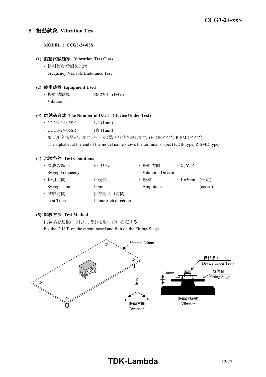#### **5.** 振動試験 **Vibration Test**

**MODEL : CCG3-24-05S**

#### **(1)** 振動試験種類 **Vibration Test Class**

・ 掃引振動数耐久試験 Frequency Variable Endurance Test

#### **(2)** 使用装置 **Equipment Used**

・ 振動試験機 : EM2201 (IMV) Vibrator

#### **(3)** 供試品台数 **The Number of D.U.T. (Device Under Test)**

- CCG3-24-05SF :  $1 \oplus (1$ unit)
- $CCG3-24-05SR$  :  $1 \triangleq$  (1unit)
	- モデル名末尾のアルファベットは端子形状を表します。(F:DIPタイプ、R:SMDタイプ)

The alphabet at the end of the model name shows the terminal shape. (F:DIP type, R:SMD type)

#### **(4)** 試験条件 **Test Conditions**

| ・周波数範囲          | : $10 - 55$ Hz        | ・振動方向                      | X, Y, Z           |          |
|-----------------|-----------------------|----------------------------|-------------------|----------|
| Sweep Frequency |                       | <b>Vibration Direction</b> |                   |          |
| · 掃引時間          | : 1.0分間               | ・振幅                        | : 1.65mm $(-\pm)$ |          |
| Sweep Time      | $1.0$ min             | Amplitude                  |                   | (const.) |
| · 試験時間          | : 各方向共 1時間            |                            |                   |          |
| Test Time       | 1 hour each direction |                            |                   |          |

#### **(5)** 試験方法 **Test Method**

供試品を基板に取付け、それを取付台に固定する。

Fix the D.U.T. on the circuit board and fit it on the Fitting-Stage.

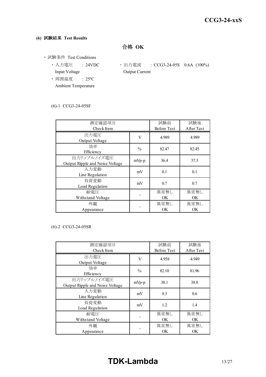#### **(6)** 試験結果 **Test Results**

合格 **OK**

- ・ 試験条件 Test Conditions
	- Input Voltage **Output Current**
	- ・ 周囲温度 : 25ºC Ambient Temperature
	- 入力電圧 : 24VDC 出力電流 : CCG3-24-05S 0.6A (100%)

#### (6)-1 CCG3-24-05SF

| 測定確認項目<br>Check Item                           |               | 試験前<br><b>Before Test</b> | 試験後<br>After Test |
|------------------------------------------------|---------------|---------------------------|-------------------|
| 出力電圧<br>Output Voltage                         | V             | 4.989                     | 4.989             |
| 効率<br>Efficiency                               | $\frac{0}{0}$ | 82.47                     | 82.45             |
| 出力リップルノイズ電圧<br>Output Ripple and Noise Voltage | $mVp-p$       | 36.4                      | 37.3              |
| 入力変動<br>Line Regulation                        | mV            | 0.1                       | 0.1               |
| 負荷変動<br>Load Regulation                        | mV            | 0.7                       | 0.7               |
| 耐電圧<br>Withstand Voltage                       |               | 異常無し<br><b>OK</b>         | 異常無し<br>OK.       |
| 外観<br>Appearance                               |               | 異常無し<br><b>OK</b>         | 異常無し<br>OK        |

#### (6)-2 CCG3-24-05SR

| 測定確認項目<br>Check Item                           |               | 試験前<br><b>Before Test</b> | 試験後<br>After Test |
|------------------------------------------------|---------------|---------------------------|-------------------|
| 出力電圧<br>Output Voltage                         | V             | 4.958                     | 4.949             |
| 効率<br>Efficiency                               | $\frac{0}{0}$ | 82.10                     | 81.96             |
| 出力リップルノイズ電圧<br>Output Ripple and Noise Voltage | $mVp-p$       | 38.1                      | 38.8              |
| 入力変動<br>Line Regulation                        | mV            | 0.3                       | 0.6               |
| 負荷変動<br>Load Regulation                        | mV            | 1.2                       | 1.4               |
| 耐電圧<br>Withstand Voltage                       |               | 異常無し<br>OK.               | 異常無し<br>OK.       |
| 外観<br>Appearance                               |               | 異常無し<br><b>OK</b>         | 異常無し<br>OK.       |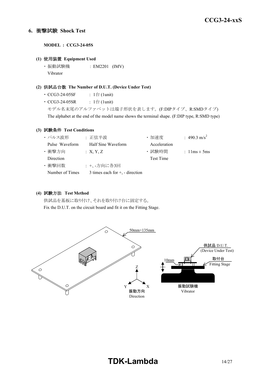#### **6.** 衝撃試験 **Shock Test**

**MODEL : CCG3-24-05S**

#### **(1)** 使用装置 **Equipment Used**

・ 振動試験機 : EM2201 (IMV) Vibrator

#### **(2)** 供試品台数 **The Number of D.U.T. (Device Under Test)**

- CCG3-24-05SF :  $1 \oplus (1$ unit)
- $CCG3-24-05SR$  :  $1 \oplus (1unit)$

モデル名末尾のアルファベットは端子形状を表します。(F:DIPタイプ、R:SMDタイプ) The alphabet at the end of the model name shows the terminal shape. (F:DIP type, R:SMD type)

#### **(3)** 試験条件 **Test Conditions**

| ・パルス波形          | : 正弦半波                               | ・加速度         | : 490.3 m/s <sup>2</sup>         |
|-----------------|--------------------------------------|--------------|----------------------------------|
| Pulse Waveform  | Half Sine Waveform                   | Acceleration |                                  |
| ・衝撃方向           | : X, Y, Z                            | · 試験時間       | : $1 \text{lms} \pm 5 \text{ms}$ |
| Direction       |                                      | Test Time    |                                  |
| ・衝撃回数           | : +、-方向に各3回                          |              |                                  |
| Number of Times | 3 times each for $+$ , $-$ direction |              |                                  |

#### **(4)** 試験方法 **Test Method**

供試品を基板に取り付け、それを取り付け台に固定する。 Fix the D.U.T. on the circuit board and fit it on the Fitting Stage.

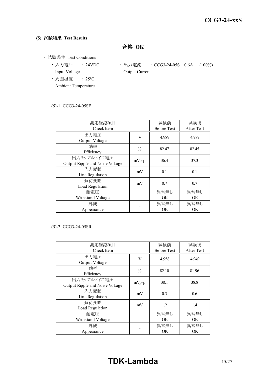### **(5)** 試験結果 **Test Results**

合格 **OK**

- ・ 試験条件 Test Conditions
	- Input Voltage **Output Current**
	- ・ 周囲温度 : 25ºC Ambient Temperature
	- 入力電圧 : 24VDC 出力電流 : CCG3-24-05S 0.6A (100%)

#### (5)-1 CCG3-24-05SF

| 測定確認項目<br>Check Item                           | 試験前<br><b>Before Test</b> | 試験後<br>After Test |             |
|------------------------------------------------|---------------------------|-------------------|-------------|
| 出力電圧<br>Output Voltage                         | V                         | 4.989             | 4.989       |
| 効率<br>Efficiency                               | $\frac{0}{0}$             | 82.47             | 82.45       |
| 出力リップルノイズ電圧<br>Output Ripple and Noise Voltage | $mVp-p$                   | 36.4              | 37.3        |
| 入力変動<br>Line Regulation                        | mV                        | 0.1               | 0.1         |
| 負荷変動<br>Load Regulation                        | mV                        | 0.7               | 0.7         |
| 耐電圧<br>Withstand Voltage                       |                           | 異常無し<br><b>OK</b> | 異常無し<br>OK. |
| 外観<br>Appearance                               |                           | 異常無し<br><b>OK</b> | 異常無し<br>OK  |

#### (5)-2 CCG3-24-05SR

| 測定確認項目<br>Check Item                           |               | 試験前<br><b>Before Test</b> | 試験後<br>After Test |
|------------------------------------------------|---------------|---------------------------|-------------------|
| 出力電圧<br>Output Voltage                         | V             | 4.958                     | 4.949             |
| 効率<br>Efficiency                               | $\frac{0}{0}$ | 82.10                     | 81.96             |
| 出力リップルノイズ電圧<br>Output Ripple and Noise Voltage | $mVp-p$       | 38.1                      | 38.8              |
| 入力変動<br>Line Regulation                        | mV            | 0.3                       | 0.6               |
| 負荷変動<br>Load Regulation                        | mV            | 1.2                       | 1.4               |
| 耐電圧<br>Withstand Voltage                       |               | 異常無し<br>OK.               | 異常無し<br>OK.       |
| 外観<br>Appearance                               |               | 異常無し<br><b>OK</b>         | 異常無し<br>OK.       |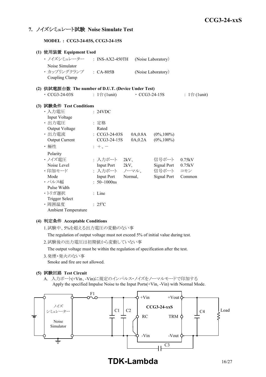#### **7.** ノイズシミュレート試験 **Noise Simulate Test**

**MODEL : CCG3-24-03S, CCG3-24-15S**

| (1) 使用装置 Equipment Used                             |                              |         |                     |                    |                              |
|-----------------------------------------------------|------------------------------|---------|---------------------|--------------------|------------------------------|
| ・ ノイズシミュレーター ___: INS-AX2-450TH                     |                              |         |                     | (Noise Laboratory) |                              |
| Noise Simulator                                     |                              |         |                     |                    |                              |
| · カップリングクランプ : CA-805B                              |                              |         |                     | (Noise Laboratory) |                              |
| Coupling Clamp                                      |                              |         |                     |                    |                              |
| (2) 供試電源台数 The number of D.U.T. (Device Under Test) |                              |         |                     |                    |                              |
| $\cdot$ CCG3-24-03S                                 | : $1 \oplus (1 \text{unit})$ |         | $\cdot$ CCG3-24-15S |                    | : $1 \oplus (1 \text{unit})$ |
| (3) 試験条件 Test Conditions                            |                              |         |                     |                    |                              |
| ・入力電圧                                               | : 24VDC                      |         |                     |                    |                              |
| Input Voltage                                       |                              |         |                     |                    |                              |
| ・出力電圧                                               | : 定格                         |         |                     |                    |                              |
| Output Voltage                                      | Rated                        |         |                     |                    |                              |
| ・出力電流                                               | $\cdot$ CCG3-24-03S          |         | 0A,0.8A             | $(0\%, 100\%)$     |                              |
| Output Current                                      | CCG3-24-15S                  |         | 0A,0.2A             | $(0\%, 100\%)$     |                              |
| ・極性                                                 | $: +$ , $-$                  |         |                     |                    |                              |
| Polarity                                            |                              |         |                     |                    |                              |
| ・ノイズ電圧                                              | : 入力ポート                      | 2kV     |                     | 信号ポート              | 0.75kV                       |
| Noise Level                                         | Input Port 2kV,              |         |                     | Signal Port        | 0.75kV                       |
| ・印加モード                                              | : 入力ポート ノーマル、                |         |                     | 信号ポート              | コモン                          |
| Mode                                                | <b>Input Port</b>            | Normal, |                     | Signal Port        | Common                       |
| ・パルス幅                                               | $: 50 \sim 1000$ ns          |         |                     |                    |                              |
| Pulse Width                                         |                              |         |                     |                    |                              |
| ・トリガ選択                                              | : Line                       |         |                     |                    |                              |
| <b>Trigger Select</b>                               |                              |         |                     |                    |                              |
| ·周囲温度                                               | $: 25^{\circ}C$              |         |                     |                    |                              |
| <b>Ambient Temperature</b>                          |                              |         |                     |                    |                              |

#### **(4)** 判定条件 **Acceptable Conditions**

1.試験中、5%を超える出力電圧の変動のない事

The regulation of output voltage must not exceed 5% of initial value during test.

2.試験後の出力電圧は初期値から変動していない事

The output voltage must be within the regulation of specification after the test.

3.発煙・発火のない事

Smoke and fire are not allowed.

#### **(5)** 試験回路 **Test Circuit**

A. 入力ポート(+Vin、-Vin)に規定のインパルス・ノイズをノーマルモードで印加する Apply the specified Impulse Noise to the Input Ports(+Vin, -Vin) with Normal Mode.



**TDK-Lambda** 16/27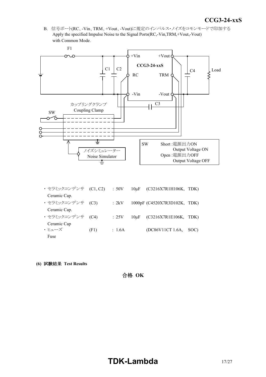*INSTRUCTION MANUAL* B. 信号ポート(RC、-Vin、TRM、+Vout、-Vout)に規定のインパルス・ノイズをコモンモードで印加する Apply the specified Impulse Noise to the Signal Ports(RC,-Vin,TRM,+Vout,-Vout) with Common Mode.



- ・ セラミックコンデンサ (C1, C2) : 50V 10μF (C3216X7R1H106K, TDK) Ceramic Cap. ・ セラミックコンデンサ (C3) : 2kV 1000pF (C4520X7R3D102K, TDK) Ceramic Cap. ・ セラミックコンデンサ (C4) : 25V 10μF (C3216X7R1E106K, TDK) Ceramic Cap  $\cdot$  ヒューズ (F1) : 1.6A (DC86V11CT 1.6A, SOC) Fuse
- **(6)** 試験結果 **Test Results**

合格 **OK**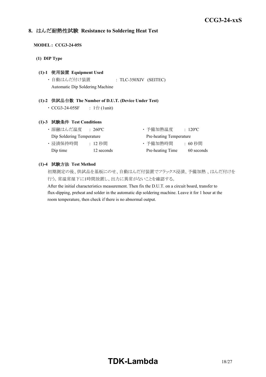#### **8.** はんだ耐熱性試験 **Resistance to Soldering Heat Test**

#### **MODEL : CCG3-24-05S**

**(1) DIP Type**

#### **(1)-1** 使用装置 **Equipment Used**

・ 自動はんだ付け装置 : TLC-350XIV (SEITEC) Automatic Dip Soldering Machine

#### **(1)-2** 供試品台数 **The Number of D.U.T. (Device Under Test)**

•  $CCG3-24-05SF$  :  $1$ 台 (1unit)

#### **(1)-3** 試験条件 **Test Conditions**

| ・溶融はんだ温度                  | $\div$ 260°C $\overline{\phantom{a}}$ | ・予備加熱温度                 | $\div 120^{\circ}$ C |
|---------------------------|---------------------------------------|-------------------------|----------------------|
| Dip Soldering Temperature |                                       | Pre-heating Temperature |                      |
| ・浸漬保持時間                   | :12 秒間                                | ・予備加熱時間                 | :60 秒間               |
| Dip time                  | 12 seconds                            | Pre-heating Time        | 60 seconds           |

#### **(1)-4** 試験方法 **Test Method**

初期測定の後、供試品を基板にのせ、自動はんだ付装置でフラックス浸漬、予備加熱 、はんだ付けを 行う。常温常湿下に1時間放置し、出力に異常がないことを確認する。

After the initial characteristics measurement. Then fix the D.U.T. on a circuit board, transfer to flux-dipping, preheat and solder in the automatic dip soldering machine. Leave it for 1 hour at the room temperature, then check if there is no abnormal output.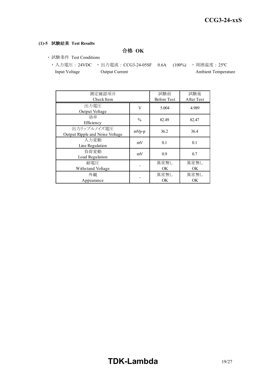#### **(1)-5** 試験結果 **Test Results**

合格 **OK**

- ・ 試験条件 Test Conditions
	- 入力電圧 : 24VDC 出力電流 : CCG3-24-05SF 0.6A (100%) 周囲温度 : 25℃ Input Voltage Output Current Ambient Temperature

| 測定確認項目<br>Check Item                           |               | 試験前<br><b>Before Test</b> | 試験後<br>After Test |
|------------------------------------------------|---------------|---------------------------|-------------------|
| 出力電圧<br>Output Voltage                         | V             | 5.004                     | 4.989             |
| 効率<br>Efficiency                               | $\frac{0}{0}$ | 82.49                     | 82.47             |
| 出力リップルノイズ電圧<br>Output Ripple and Noise Voltage | mVp-p         | 36.2                      | 36.4              |
| 入力変動<br>Line Regulation                        | mV            | 0.1                       | 0.1               |
| 負荷変動<br>Load Regulation                        | mV            | 0.9                       | 0.7               |
| 耐雷圧<br>Withstand Voltage                       |               | 異常無し<br>OK                | 異常無し<br>OK.       |
| 外観<br>Appearance                               |               | 異常無し<br>OK                | 異常無し<br>OK.       |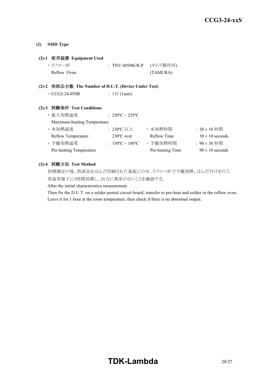#### **(2) SMD Type**

#### **(2)-1** 使用装置 **Equipment Used**

| ・リフロー炉      | : TNV-M508CR-P (タムラ製作所) |          |
|-------------|-------------------------|----------|
| Reflow Oven |                         | (TAMURA) |

#### **(2)-2** 供試品台数 **The Number of D.U.T. (Device Under Test)**

| $\cdot$ CCG3-24-05SR | : 1台 (1unit) |
|----------------------|--------------|
|----------------------|--------------|

#### **(2)-3** 試験条件 **Test Conditions**

| ・最大加熱温度                     | : $250^{\circ}$ C ~ $255^{\circ}$ C |                  |                     |
|-----------------------------|-------------------------------------|------------------|---------------------|
| Maximum-heating Temperature |                                     |                  |                     |
| ・本加熱温度                      | : 230°C 以上                          | ・本加熱時間           | $: 30 \pm 10$ 秒間    |
| <b>Reflow Temperature</b>   | $230^{\circ}$ C over                | Reflow Time      | $30 \pm 10$ seconds |
| ・予備加熱温度                     | : $150^{\circ}$ C ~ $180^{\circ}$ C | ・予備加熱時間          | : 90±30 秒間          |
| Pre-heating Temperature     |                                     | Pre-heating Time | $90 \pm 10$ seconds |

#### **(2)-4** 試験方法 **Test Method**

初期測定の後、供試品をはんだ印刷された基板にのせ、リフロー炉で予備加熱、はんだ付けを行う。 常温常湿下に1時間放置し、出力に異常がないことを確認する。

After the initial characteristics measurement.

Then fix the D.U.T. on a solder pasted circuit board, transfer to pre-heat and solder in the reflow oven. Leave it for 1 hour at the room temperature, then check if there is no abnormal output.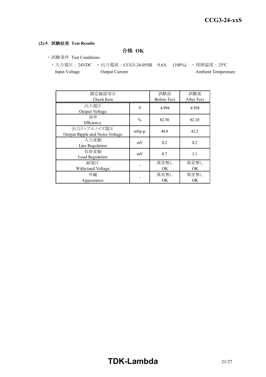#### **(2)-5** 試験結果 **Test Results**

合格 **OK**

- ・ 試験条件 Test Conditions
	- ・ 入力電圧 : 24VDC ・ 出力電流 : CCG3-24-05SR 0.6A (100%) ・ 周囲温度 : 25ºC Input Voltage Output Current Ambient Temperature

| 測定確認項目<br>Check Item                           |               | 試験前<br><b>Before Test</b> | 試験後<br>After Test |
|------------------------------------------------|---------------|---------------------------|-------------------|
| 出力電圧<br>Output Voltage                         | V             | 4.994                     | 4.958             |
| 効率<br>Efficiency                               | $\frac{0}{0}$ | 82.30                     | 82.10             |
| 出力リップルノイズ電圧<br>Output Ripple and Noise Voltage | mVp-p         | 44.8                      | 43.2              |
| 入力変動<br>Line Regulation                        | mV            | 0.2                       | 0.2               |
| 負荷変動<br>Load Regulation                        | mV            | 0.7                       | 1.1               |
| 耐雷圧<br>Withstand Voltage                       |               | 異常無し<br>OK                | 異常無し<br>OK.       |
| 外観<br>Appearance                               |               | 異常無し<br>OK                | 異常無し<br><b>OK</b> |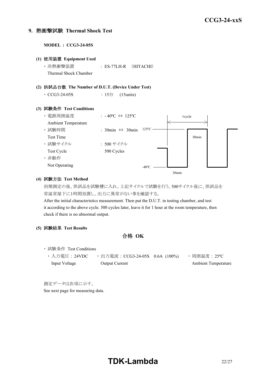#### **9.** 熱衝撃試験 **Thermal Shock Test**

**MODEL : CCG3-24-05S (1)** 使用装置 **Equipment Used** ・ 冷熱衝撃装置 : ES-77LH-R (HITACHI) Thermal Shock Chamber **(2)** 供試品台数 **The Number of D.U.T. (Device Under Test)** • CCG3-24-05S : 15台 (15units) **(3)** 試験条件 **Test Conditions** ・電源周囲温度 : -40℃ ⇔ 125℃ Ambient Temperature ・ 試験時間 : 30min ⇔ 30min Test Time ・ 試験サイクル : 500 サイクル Test Cycle 500 Cycles ・ 非動作 Not Operating 1cycle 30min  $-40^{\circ}$ C  $-$ 125ºC

#### **(4)** 試験方法 **Test Method**

初期測定の後、供試品を試験槽に入れ、上記サイクルで試験を行う。500サイクル後に、供試品を 常温常湿下に1時間放置し、出力に異常がない事を確認する。

30min

After the initial characteristics measurement. Then put the D.U.T. in testing chamber, and test it according to the above cycle. 500 cycles later, leave it for 1 hour at the room temperature, then check if there is no abnormal output.

#### **(5)** 試験結果 **Test Results**

合格 **OK**

- ・ 試験条件 Test Conditions
	- 入力電圧 : 24VDC 出力電流 : CCG3-24-05S 0.6A (100%) 周囲温度 : 25℃ Input Voltage Output Current Ambient Temperature

測定データは次項に示す。 See next page for measuring data.

# **TDK-Lambda** 22/27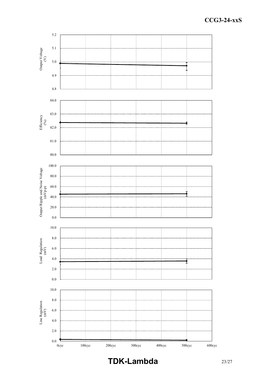

**TDK-Lambda** 23/27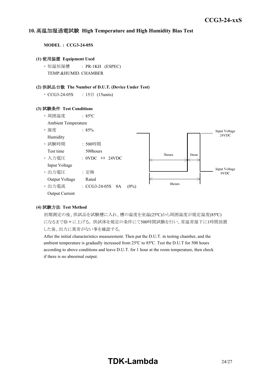#### *INSTRUCTION MANUAL* **10.** 高温加湿通電試験 **High Temperature and High Humidity Bias Test**

**MODEL : CCG3-24-05S**

#### **(1)** 使用装置 **Equipment Used**

・ 恒温恒湿槽 : PR-1KH (ESPEC) TEMP.&HUMID. CHAMBER

#### **(2)** 供試品台数 **The Number of D.U.T. (Device Under Test)**

• CCG3-24-05S : 15台 (15units)

#### **(3)** 試験条件 **Test Conditions**



#### **(4)** 試験方法 **Test Method**

初期測定の後、供試品を試験槽に入れ、槽の温度を室温(25ºC)から周囲温度が規定温度(85ºC) になるまで徐々に上げる。 供試体を規定の条件にて500時間試験を行い、常温常湿下に1時間放置 した後、出力に異常がない事を確認する。

After the initial characteristics measurement. Then put the D.U.T. in testing chamber, and the ambient temperature is gradually increased from 25ºC to 85ºC. Test the D.U.T for 500 hours according to above conditions and leave D.U.T. for 1 hour at the room temperature, then check if there is no abnormal output.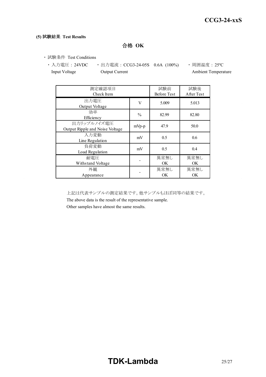#### **(5)** 試験結果 **Test Results**

合格 **OK**

・ 試験条件 Test Conditions

• 入力電圧 : 24VDC • 出力電流 : CCG3-24-05S 0.6A (100%) • 周囲温度 : 25℃ Input Voltage **Output Current Ambient Temperature** Ambient Temperature

| 測定確認項目<br>Check Item                           |               | 試験前<br><b>Before Test</b> | 試験後<br>After Test |
|------------------------------------------------|---------------|---------------------------|-------------------|
| 出力電圧<br>Output Voltage                         | V             | 5.009                     | 5.013             |
| 効率<br>Efficiency                               | $\frac{0}{0}$ | 82.99                     | 82.80             |
| 出力リップルノイズ電圧<br>Output Ripple and Noise Voltage | $mVp-p$       | 47.9                      | 50.0              |
| 入力変動<br>Line Regulation                        | mV            | 0.5                       | 0.6               |
| 負荷変動<br>Load Regulation                        | mV            | 0.5                       | 0.4               |
| 耐電圧<br>Withstand Voltage                       |               | 異常無し<br><b>OK</b>         | 異常無し<br>OK        |
| 外観<br>Appearance                               |               | 異常無し<br><b>OK</b>         | 異常無し<br>OK        |

上記は代表サンプルの測定結果です。他サンプルもほぼ同等の結果です。

The above data is the result of the representative sample.

Other samples have almost the same results.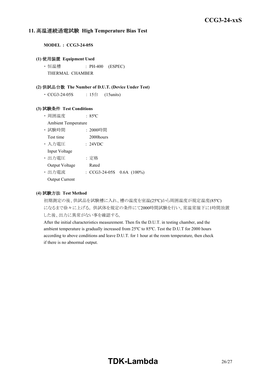#### **11.** 高温連続通電試験 **High Temperature Bias Test**

**MODEL : CCG3-24-05S**

#### **(1)** 使用装置 **Equipment Used**

• 恒温槽 : PH-400 (ESPEC) THERMAL CHAMBER

#### **(2)** 供試品台数 **The Number of D.U.T. (Device Under Test)**

 $\cdot$  CCG3-24-05S : 15台 (15units)

#### **(3)** 試験条件 **Test Conditions**

- ・ 周囲温度 : 85ºC
- Ambient Temperature
- ・ 試験時間 : 2000時間
- Test time 2000 hours
- ・ 入力電圧 : 24VDC Input Voltage

- ・ 出力電圧 : 定格 Output Voltage Rated
- ・ 出力電流 : CCG3-24-05S 0.6A (100%)
- Output Current

#### **(4)** 試験方法 **Test Method**

初期測定の後、供試品を試験槽に入れ、槽の温度を室温(25ºC)から周囲温度が規定温度(85ºC) になるまで徐々に上げる。 供試体を規定の条件にて2000時間試験を行い、常温常湿下に1時間放置 した後、出力に異常がない事を確認する。

After the initial characteristics measurement. Then fix the D.U.T. in testing chamber, and the ambient temperature is gradually increased from 25ºC to 85ºC. Test the D.U.T for 2000 hours according to above conditions and leave D.U.T. for 1 hour at the room temperature, then check if there is no abnormal output.